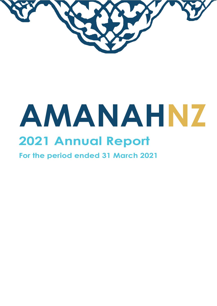

# **AMANAHNZ 2021 Annual Report**

**For the period ended 31 March 2021**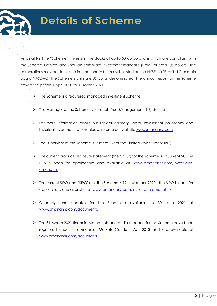## **Details of Scheme**

AmanahNZ (the "Scheme") invests in the stocks of up to 50 corporations which are compliant with the Scheme's ethical and Shari'ah compliant investment mandate (Halal) or cash (US dollars). The corporations may be domiciled internationally but must be listed on the NYSE, NYSE MKT LLC or main board NASDAQ. The Scheme's units are US dollar denominated. The annual report for the Scheme covers the period 1 April 2020 to 31 March 2021.

- $\triangleright$  The Scheme is a registered managed investment scheme.
- $\triangleright$  The Manager of the Scheme is Amanah Trust Management (NZ) Limited.
- For more information about our Ethical Advisory Board, investment philosophy and historical investment returns please refer to our website [www.amanahnz.com.](http://www.amanahnz.com/)
- The Supervisor of the Scheme is Trustees Executors Limited (the "Supervisor").
- The current product disclosure statement (the "PDS") for the Scheme is 10 June 2020. The PDS is open for applications and available at [www.amanahnz.com/invest-with](http://www.amanahnz.com/invest-with-amanahnz)[amanahnz](http://www.amanahnz.com/invest-with-amanahnz)
- The current SIPO (the "SIPO") for the Scheme is 12 November 2020. The SIPO is open for applications and available at [www.amanahnz.com/invest-with-amanahnz](http://www.amanahnz.com/invest-with-amanahnz)
- Quarterly fund updates for the Fund are available to 30 June 2021 at [www.amanahnz.com/documents.](http://www.amanahnz.com/documents)
- $\triangleright$  The 31 March 2021 financial statements and auditor's report for the Scheme have been registered under the Financial Markets Conduct Act 2013 and are available at [www.amanahnz.com/documents.](http://www.amanahnz.com/documents)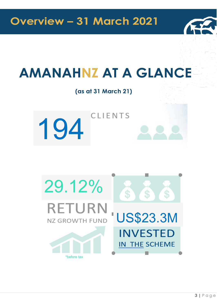

## **AMANAHNZ AT A GLANCE**

(as at 31 March 21)

**CLIENTS** 194

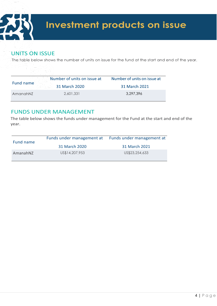

#### **UNITS ON ISSUE**

The table below shows the number of units on issue for the fund at the start and end of the year.

| Fund name | Number of units on issue at | Number of units on issue at |  |
|-----------|-----------------------------|-----------------------------|--|
|           | 31 March 2020               | 31 March 2021               |  |
| AmanahNZ  | 2,601,331                   | 3,297,396                   |  |

#### FUNDS UNDER MANAGEMENT

The table below shows the funds under management for the Fund at the start and end of the year.

| Fund name | Funds under management at | Funds under management at |  |
|-----------|---------------------------|---------------------------|--|
|           | 31 March 2020             | 31 March 2021             |  |
| AmanahNZ  | US\$14,207,953            | US\$23,254,633            |  |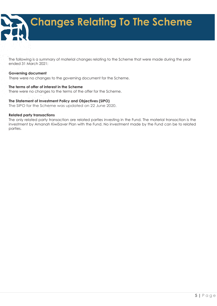## **Changes Relating To The Scheme**

The following is a summary of material changes relating to the Scheme that were made during the year ended 31 March 2021:

#### **Governing document**

There were no changes to the governing document for the Scheme.

#### **The terms of offer of interest in the Scheme**

There were no changes to the terms of the offer for the Scheme.

#### **The Statement of Investment Policy and Objectives (SIPO)**

The SIPO for the Scheme was updated on 22 June 2020.

#### **Related party transactions**

The only related party transaction are related parties investing in the Fund. The material transaction is the investment by Amanah KiwiSaver Plan with the Fund. No investment made by the Fund can be to related parties.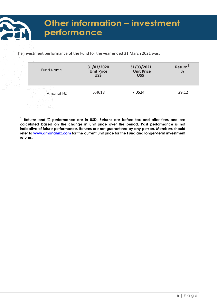### Other information - investment performance

The investment performance of the Fund for the year ended 31 March 2021 was:

| <b>Fund Name</b> | 31/03/2020<br><b>Unit Price</b><br>US\$ | 31/03/2021<br><b>Unit Price</b><br>US\$ | Return <sup>1</sup><br>% |
|------------------|-----------------------------------------|-----------------------------------------|--------------------------|
| AmanahNZ         | 5.4618                                  | 7.0524                                  | 29.12                    |

**1 Returns and % performance are in USD. Returns are before tax and after fees and are calculated based on the change in unit price over the period. Past performance is not indicative of future performance. Returns are not guaranteed by any person. Members should refer to [www.amanahnz.com](http://www.amanahnz.com/) for the current unit price for the Fund and longer-term investment returns.**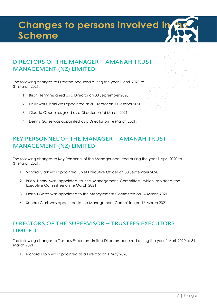## **Changes to persons involved in Scheme**

#### DIRECTORS OF THE MANAGER – AMANAH TRUST MANAGEMENT (NZ) LIMITED

The following changes to Directors occurred during the year 1 April 2020 to 31 March 2021:

- 1. Brian Henry resigned as a Director on 30 September 2020.
- 2. Dr Anwar Ghani was appointed as a Director on 1 October 2020.
- 3. Claude Oberto resigned as a Director on 15 March 2021.
- 4. Dennis Gates was appointed as a Director on 16 March 2021.

#### KEY PERSONNEL OF THE MANAGER – AMANAH TRUST MANAGEMENT (NZ) LIMITED

The following changes to Key Personnel of the Manager occurred during the year 1 April 2020 to 31 March 2021:

- 1. Sandra Clark was appointed Chief Executive Officer on 30 September 2020.
- 2. Brian Henry was appointed to the Management Committee, which replaced the Executive Committee on 16 March 2021.
- 3. Dennis Gates was appointed to the Management Committee on 16 March 2021.
- 4. Sandra Clark was appointed to the Management Committee on 16 March 2021.

#### DIRECTORS OF THE SUPERVISOR – TRUSTEES EXECUTORS LIMITED

The following changes to Trustees Executors Limited Directors occurred during the year 1 April 2020 to 31 March 2021:

1. Richard Klipin was appointed as a Director on 1 May 2020.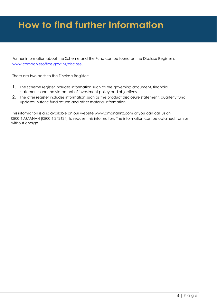## **How to find further information**

Further information about the Scheme and the Fund can be found on the Disclose Register at [www.companiesoffice.govt.nz/disclose.](http://www.companiesoffice.govt.nz/disclose)

There are two parts to the Disclose Register:

- 1. The scheme register includes information such as the governing document, financial statements and the statement of investment policy and objectives.
- 2. The offer register includes information such as the product disclosure statement, quarterly fund updates, historic fund returns and other material information.

This information is also available on our website [www.amanahnz.com](http://www.amanahnz.com/) or you can call us on 0800 4 AMANAH (0800 4 242624) to request this information. The information can be obtained from us without charge.